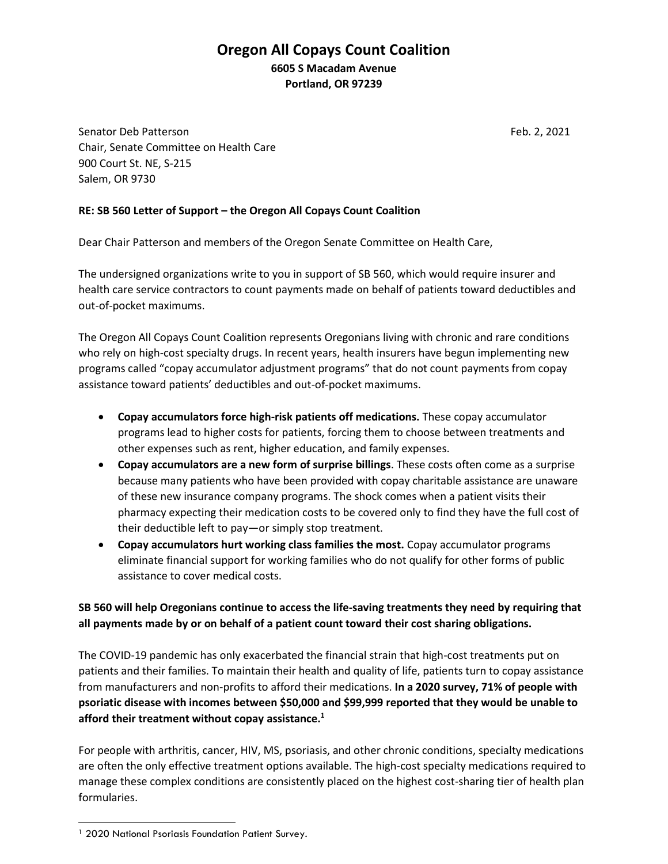## **Oregon All Copays Count Coalition 6605 S Macadam Avenue Portland, OR 97239**

Senator Deb Patterson Feb. 2, 2021 Chair, Senate Committee on Health Care 900 Court St. NE, S-215 Salem, OR 9730

## **RE: SB 560 Letter of Support – the Oregon All Copays Count Coalition**

Dear Chair Patterson and members of the Oregon Senate Committee on Health Care,

The undersigned organizations write to you in support of SB 560, which would require insurer and health care service contractors to count payments made on behalf of patients toward deductibles and out-of-pocket maximums.

The Oregon All Copays Count Coalition represents Oregonians living with chronic and rare conditions who rely on high-cost specialty drugs. In recent years, health insurers have begun implementing new programs called "copay accumulator adjustment programs" that do not count payments from copay assistance toward patients' deductibles and out-of-pocket maximums.

- **Copay accumulators force high-risk patients off medications.** These copay accumulator programs lead to higher costs for patients, forcing them to choose between treatments and other expenses such as rent, higher education, and family expenses.
- **Copay accumulators are a new form of surprise billings**. These costs often come as a surprise because many patients who have been provided with copay charitable assistance are unaware of these new insurance company programs. The shock comes when a patient visits their pharmacy expecting their medication costs to be covered only to find they have the full cost of their deductible left to pay—or simply stop treatment.
- **Copay accumulators hurt working class families the most.** Copay accumulator programs eliminate financial support for working families who do not qualify for other forms of public assistance to cover medical costs.

## **SB 560 will help Oregonians continue to access the life-saving treatments they need by requiring that all payments made by or on behalf of a patient count toward their cost sharing obligations.**

The COVID-19 pandemic has only exacerbated the financial strain that high-cost treatments put on patients and their families. To maintain their health and quality of life, patients turn to copay assistance from manufacturers and non-profits to afford their medications. **In a 2020 survey, 71% of people with psoriatic disease with incomes between \$50,000 and \$99,999 reported that they would be unable to afford their treatment without copay assistance.<sup>1</sup>**

For people with arthritis, cancer, HIV, MS, psoriasis, and other chronic conditions, specialty medications are often the only effective treatment options available. The high-cost specialty medications required to manage these complex conditions are consistently placed on the highest cost-sharing tier of health plan formularies.

<sup>&</sup>lt;sup>1</sup> 2020 National Psoriasis Foundation Patient Survey.